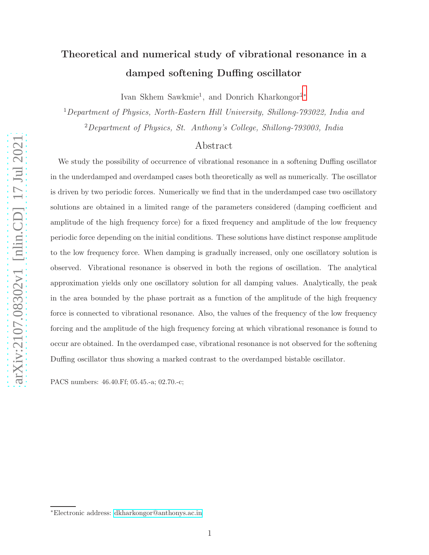# Theoretical and numerical study of vibrational resonance in a damped softening Duffing oscillator

Ivan Skhem Sawkmie<sup>1</sup>, and Donrich Kharkongor<sup>2[∗](#page-0-0)</sup>

<sup>1</sup>Department of Physics, North-Eastern Hill University, Shillong-793022, India and <sup>2</sup>Department of Physics, St. Anthony's College, Shillong-793003, India

# Abstract

We study the possibility of occurrence of vibrational resonance in a softening Duffing oscillator in the underdamped and overdamped cases both theoretically as well as numerically. The oscillator is driven by two periodic forces. Numerically we find that in the underdamped case two oscillatory solutions are obtained in a limited range of the parameters considered (damping coefficient and amplitude of the high frequency force) for a fixed frequency and amplitude of the low frequency periodic force depending on the initial conditions. These solutions have distinct response amplitude to the low frequency force. When damping is gradually increased, only one oscillatory solution is observed. Vibrational resonance is observed in both the regions of oscillation. The analytical approximation yields only one oscillatory solution for all damping values. Analytically, the peak in the area bounded by the phase portrait as a function of the amplitude of the high frequency force is connected to vibrational resonance. Also, the values of the frequency of the low frequency forcing and the amplitude of the high frequency forcing at which vibrational resonance is found to occur are obtained. In the overdamped case, vibrational resonance is not observed for the softening Duffing oscillator thus showing a marked contrast to the overdamped bistable oscillator.

PACS numbers: 46.40.Ff; 05.45.-a; 02.70.-c;

<span id="page-0-0"></span><sup>∗</sup>Electronic address: [dkharkongor@anthonys.ac.in](mailto:dkharkongor@anthonys.ac.in)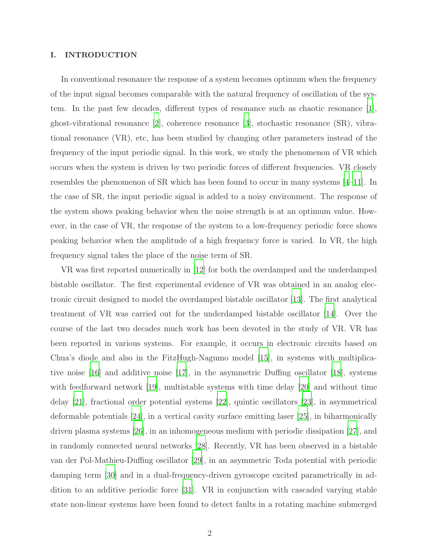## I. INTRODUCTION

In conventional resonance the response of a system becomes optimum when the frequency of the input signal becomes comparable with the natural frequency of oscillation of the system. In the past few decades, different types of resonance such as chaotic resonance [\[1\]](#page-19-0), ghost-vibrational resonance [\[2\]](#page-19-1), coherence resonance [\[3\]](#page-19-2), stochastic resonance (SR), vibrational resonance (VR), etc, has been studied by changing other parameters instead of the frequency of the input periodic signal. In this work, we study the phenomenon of VR which occurs when the system is driven by two periodic forces of different frequencies. VR closely resembles the phenomenon of SR which has been found to occur in many systems [\[4](#page-19-3)[–11\]](#page-20-0). In the case of SR, the input periodic signal is added to a noisy environment. The response of the system shows peaking behavior when the noise strength is at an optimum value. However, in the case of VR, the response of the system to a low-frequency periodic force shows peaking behavior when the amplitude of a high frequency force is varied. In VR, the high frequency signal takes the place of the noise term of SR.

VR was first reported numerically in [\[12\]](#page-20-1) for both the overdamped and the underdamped bistable oscillator. The first experimental evidence of VR was obtained in an analog electronic circuit designed to model the overdamped bistable oscillator [\[13\]](#page-20-2). The first analytical treatment of VR was carried out for the underdamped bistable oscillator [\[14\]](#page-20-3). Over the course of the last two decades much work has been devoted in the study of VR. VR has been reported in various systems. For example, it occurs in electronic circuits based on Chua's diode and also in the FitzHugh-Nagumo model [\[15\]](#page-20-4), in systems with multiplicative noise  $|16|$  and additive noise  $|17|$ , in the asymmetric Duffing oscillator  $|18|$ , systems with feedforward network [\[19](#page-20-8)], multistable systems with time delay [\[20](#page-20-9)] and without time delay [\[21](#page-20-10)], fractional order potential systems [\[22](#page-20-11)], quintic oscillators [\[23\]](#page-20-12), in asymmetrical deformable potentials [\[24\]](#page-20-13), in a vertical cavity surface emitting laser [\[25\]](#page-20-14), in biharmonically driven plasma systems [\[26\]](#page-20-15), in an inhomogeneous medium with periodic dissipation [\[27\]](#page-20-16), and in randomly connected neural networks [\[28](#page-20-17)]. Recently, VR has been observed in a bistable van der Pol-Mathieu-Duffing oscillator [\[29\]](#page-20-18), in an asymmetric Toda potential with periodic damping term [\[30](#page-21-0)] and in a dual-frequency-driven gyroscope excited parametrically in addition to an additive periodic force [\[31](#page-21-1)]. VR in conjunction with cascaded varying stable state non-linear systems have been found to detect faults in a rotating machine submerged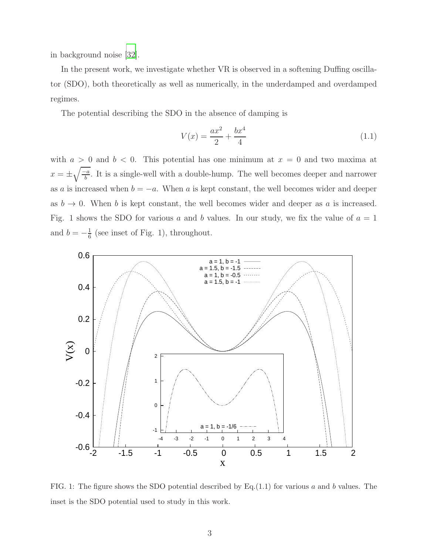in background noise [\[32](#page-21-2)].

In the present work, we investigate whether VR is observed in a softening Duffing oscillator (SDO), both theoretically as well as numerically, in the underdamped and overdamped regimes.

The potential describing the SDO in the absence of damping is

$$
V(x) = \frac{ax^2}{2} + \frac{bx^4}{4}
$$
 (1.1)

with  $a > 0$  and  $b < 0$ . This potential has one minimum at  $x = 0$  and two maxima at  $x = \pm \sqrt{\frac{-a}{b}}$ . It is a single-well with a double-hump. The well becomes deeper and narrower as a is increased when  $b = -a$ . When a is kept constant, the well becomes wider and deeper as  $b \to 0$ . When b is kept constant, the well becomes wider and deeper as a is increased. Fig. 1 shows the SDO for various  $a$  and  $b$  values. In our study, we fix the value of  $a = 1$ and  $b = -\frac{1}{6}$  $\frac{1}{6}$  (see inset of Fig. 1), throughout.



FIG. 1: The figure shows the SDO potential described by Eq.(1.1) for various a and b values. The inset is the SDO potential used to study in this work.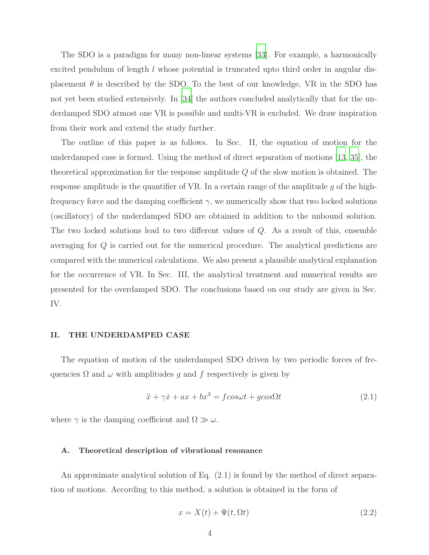The SDO is a paradigm for many non-linear systems [\[33\]](#page-21-3). For example, a harmonically excited pendulum of length l whose potential is truncated upto third order in angular displacement  $\theta$  is described by the SDO. To the best of our knowledge, VR in the SDO has not yet been studied extensively. In [\[34\]](#page-21-4) the authors concluded analytically that for the underdamped SDO atmost one VR is possible and multi-VR is excluded. We draw inspiration from their work and extend the study further.

The outline of this paper is as follows. In Sec. II, the equation of motion for the underdamped case is formed. Using the method of direct separation of motions [\[13](#page-20-2), [35\]](#page-21-5), the theoretical approximation for the response amplitude Q of the slow motion is obtained. The response amplitude is the quantifier of VR. In a certain range of the amplitude q of the highfrequency force and the damping coefficient  $\gamma$ , we numerically show that two locked solutions (oscillatory) of the underdamped SDO are obtained in addition to the unbound solution. The two locked solutions lead to two different values of Q. As a result of this, ensemble averaging for Q is carried out for the numerical procedure. The analytical predictions are compared with the numerical calculations. We also present a plausible analytical explanation for the occurrence of VR. In Sec. III, the analytical treatment and numerical results are presented for the overdamped SDO. The conclusions based on our study are given in Sec. IV.

#### II. THE UNDERDAMPED CASE

The equation of motion of the underdamped SDO driven by two periodic forces of frequencies  $\Omega$  and  $\omega$  with amplitudes q and f respectively is given by

$$
\ddot{x} + \gamma \dot{x} + ax + bx^3 = f \cos\omega t + g \cos\Omega t \tag{2.1}
$$

where  $\gamma$  is the damping coefficient and  $\Omega \gg \omega$ .

# A. Theoretical description of vibrational resonance

An approximate analytical solution of Eq. (2.1) is found by the method of direct separation of motions. According to this method, a solution is obtained in the form of

$$
x = X(t) + \Psi(t, \Omega t) \tag{2.2}
$$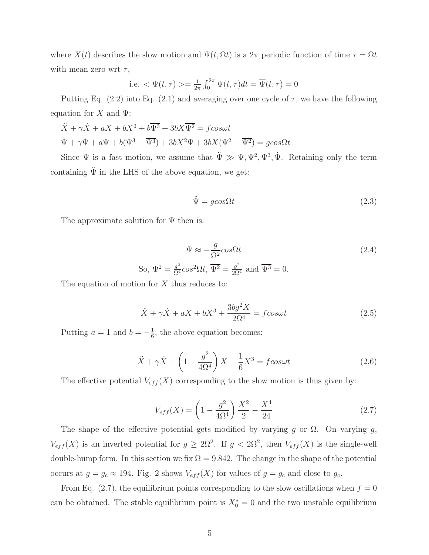where  $X(t)$  describes the slow motion and  $\Psi(t, \Omega t)$  is a  $2\pi$  periodic function of time  $\tau = \Omega t$ with mean zero wrt  $\tau$ ,

i.e. 
$$
\Psi(t, \tau) \geq \frac{1}{2\pi} \int_0^{2\pi} \Psi(t, \tau) dt = \overline{\Psi}(t, \tau) = 0
$$

Putting Eq. (2.2) into Eq. (2.1) and averaging over one cycle of  $\tau$ , we have the following equation for X and  $\Psi$ :

$$
\ddot{X} + \gamma \dot{X} + aX + bX^3 + b\overline{\Psi^3} + 3bX\overline{\Psi^2} = f\cos\omega t
$$
  

$$
\ddot{\Psi} + \gamma \dot{\Psi} + a\Psi + b(\Psi^3 - \overline{\Psi^3}) + 3bX^2\Psi + 3bX(\Psi^2 - \overline{\Psi^2}) = g\cos\Omega t
$$

Since  $\Psi$  is a fast motion, we assume that  $\ddot{\Psi} \gg \Psi, \Psi^2, \Psi^3, \dot{\Psi}$ . Retaining only the term containing  $\ddot{\Psi}$  in the LHS of the above equation, we get:

$$
\ddot{\Psi} = g\cos\Omega t \tag{2.3}
$$

The approximate solution for  $\Psi$  then is:

$$
\Psi \approx -\frac{g}{\Omega^2} \cos \Omega t
$$
\n
$$
\text{So, } \Psi^2 = \frac{g^2}{\Omega^4} \cos^2 \Omega t, \overline{\Psi^2} = \frac{g^2}{2\Omega^4} \text{ and } \overline{\Psi^3} = 0.
$$
\n
$$
(2.4)
$$

The equation of motion for X thus reduces to:

$$
\ddot{X} + \gamma \dot{X} + aX + bX^3 + \frac{3bg^2X}{2\Omega^4} = f\cos\omega t
$$
\n(2.5)

Putting  $a = 1$  and  $b = -\frac{1}{6}$  $\frac{1}{6}$ , the above equation becomes:

$$
\ddot{X} + \gamma \dot{X} + \left(1 - \frac{g^2}{4\Omega^4}\right)X - \frac{1}{6}X^3 = f\cos\omega t
$$
\n(2.6)

The effective potential  $V_{eff}(X)$  corresponding to the slow motion is thus given by:

$$
V_{eff}(X) = \left(1 - \frac{g^2}{4\Omega^4}\right)\frac{X^2}{2} - \frac{X^4}{24}
$$
\n(2.7)

The shape of the effective potential gets modified by varying g or  $\Omega$ . On varying g,  $V_{eff}(X)$  is an inverted potential for  $g \geq 2\Omega^2$ . If  $g < 2\Omega^2$ , then  $V_{eff}(X)$  is the single-well double-hump form. In this section we fix  $\Omega = 9.842$ . The change in the shape of the potential occurs at  $g = g_c \approx 194$ . Fig. 2 shows  $V_{eff}(X)$  for values of  $g = g_c$  and close to  $g_c$ .

From Eq. (2.7), the equilibrium points corresponding to the slow oscillations when  $f = 0$ can be obtained. The stable equilibrium point is  $X_0^* = 0$  and the two unstable equilibrium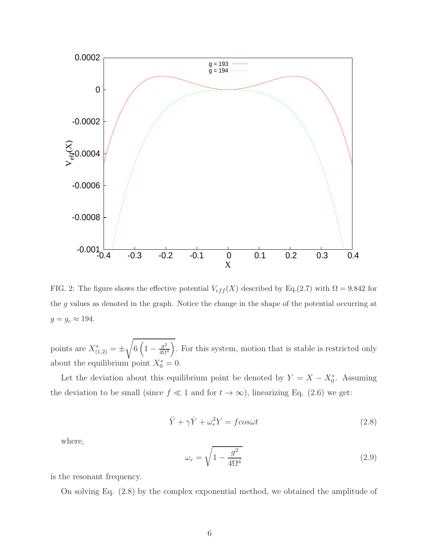

FIG. 2: The figure shows the effective potential  $V_{eff}(X)$  described by Eq.(2.7) with  $\Omega = 9.842$  for the g values as denoted in the graph. Notice the change in the shape of the potential occurring at  $g = g_c \approx 194.$ 

points are  $X^*_{(1,2)} = \pm$ <sup>1</sup>  $6\left(1-\frac{g^2}{4\Omega}\right)$  $\frac{g^2}{4\Omega^4}$ . For this system, motion that is stable is restricted only about the equilibrium point  $X_0^* = 0$ .

Let the deviation about this equilibrium point be denoted by  $Y = X - X_0^*$ . Assuming the deviation to be small (since  $f \ll 1$  and for  $t \to \infty$ ), linearizing Eq. (2.6) we get:

$$
\ddot{Y} + \gamma \dot{Y} + \omega_r^2 Y = f \cos \omega t \tag{2.8}
$$

where,

$$
\omega_r = \sqrt{1 - \frac{g^2}{4\Omega^4}}\tag{2.9}
$$

is the resonant frequency.

On solving Eq. (2.8) by the complex exponential method, we obtained the amplitude of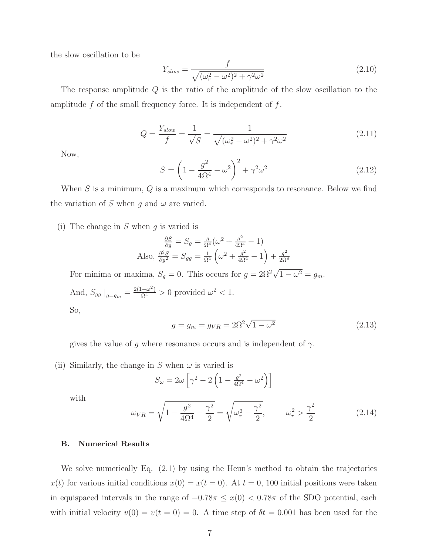the slow oscillation to be

$$
Y_{slow} = \frac{f}{\sqrt{(\omega_r^2 - \omega^2)^2 + \gamma^2 \omega^2}}
$$
(2.10)

The response amplitude Q is the ratio of the amplitude of the slow oscillation to the amplitude  $f$  of the small frequency force. It is independent of  $f$ .

$$
Q = \frac{Y_{slow}}{f} = \frac{1}{\sqrt{S}} = \frac{1}{\sqrt{(\omega_r^2 - \omega^2)^2 + \gamma^2 \omega^2}}
$$
(2.11)

Now,

$$
S = \left(1 - \frac{g^2}{4\Omega^4} - \omega^2\right)^2 + \gamma^2 \omega^2
$$
 (2.12)

When  $S$  is a minimum,  $Q$  is a maximum which corresponds to resonance. Below we find the variation of S when g and  $\omega$  are varied.

(i) The change in  $S$  when  $q$  is varied is

$$
\frac{\partial S}{\partial g} = S_g = \frac{g}{\Omega^4} (\omega^2 + \frac{g^2}{4\Omega^4} - 1)
$$
  
Also, 
$$
\frac{\partial^2 S}{\partial g^2} = S_{gg} = \frac{1}{\Omega^4} \left( \omega^2 + \frac{g^2}{4\Omega^4} - 1 \right) + \frac{g^2}{2\Omega^8}
$$

For minima or maxima,  $S_g = 0$ . This occurs for  $g = 2\Omega^2 \sqrt{1 - \omega^2} = g_m$ . And,  $S_{gg} \big|_{g=g_m} = \frac{2(1-\omega^2)}{\Omega^4} > 0$  provided  $\omega^2 < 1$ . So,

$$
g = g_m = g_{VR} = 2\Omega^2 \sqrt{1 - \omega^2}
$$
 (2.13)

gives the value of g where resonance occurs and is independent of  $\gamma$ .

(ii) Similarly, the change in S when  $\omega$  is varied is

$$
S_{\omega} = 2\omega \left[ \gamma^2 - 2 \left( 1 - \frac{g^2}{4\Omega^4} - \omega^2 \right) \right]
$$

with

$$
\omega_{VR} = \sqrt{1 - \frac{g^2}{4\Omega^4} - \frac{\gamma^2}{2}} = \sqrt{\omega_r^2 - \frac{\gamma^2}{2}}, \qquad \omega_r^2 > \frac{\gamma^2}{2}
$$
 (2.14)

# B. Numerical Results

We solve numerically Eq. (2.1) by using the Heun's method to obtain the trajectories  $x(t)$  for various initial conditions  $x(0) = x(t = 0)$ . At  $t = 0$ , 100 initial positions were taken in equispaced intervals in the range of  $-0.78\pi \leq x(0) < 0.78\pi$  of the SDO potential, each with initial velocity  $v(0) = v(t = 0) = 0$ . A time step of  $\delta t = 0.001$  has been used for the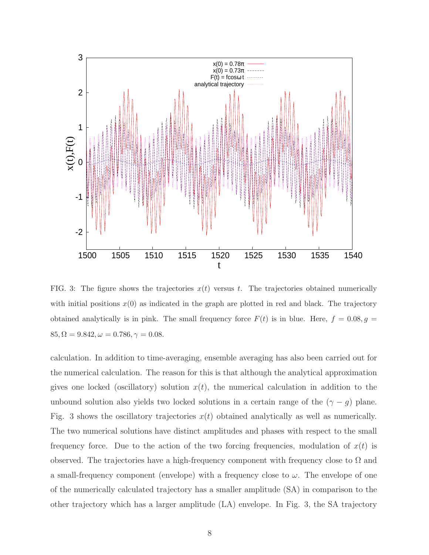

FIG. 3: The figure shows the trajectories  $x(t)$  versus t. The trajectories obtained numerically with initial positions  $x(0)$  as indicated in the graph are plotted in red and black. The trajectory obtained analytically is in pink. The small frequency force  $F(t)$  is in blue. Here,  $f = 0.08, g =$  $85, \Omega = 9.842, \omega = 0.786, \gamma = 0.08.$ 

calculation. In addition to time-averaging, ensemble averaging has also been carried out for the numerical calculation. The reason for this is that although the analytical approximation gives one locked (oscillatory) solution  $x(t)$ , the numerical calculation in addition to the unbound solution also yields two locked solutions in a certain range of the  $(γ - g)$  plane. Fig. 3 shows the oscillatory trajectories  $x(t)$  obtained analytically as well as numerically. The two numerical solutions have distinct amplitudes and phases with respect to the small frequency force. Due to the action of the two forcing frequencies, modulation of  $x(t)$  is observed. The trajectories have a high-frequency component with frequency close to  $\Omega$  and a small-frequency component (envelope) with a frequency close to  $\omega$ . The envelope of one of the numerically calculated trajectory has a smaller amplitude (SA) in comparison to the other trajectory which has a larger amplitude (LA) envelope. In Fig. 3, the SA trajectory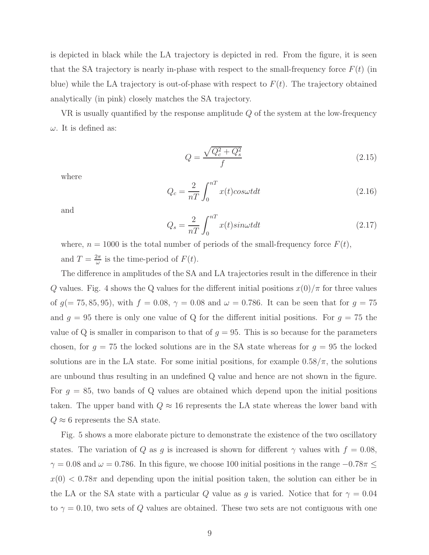is depicted in black while the LA trajectory is depicted in red. From the figure, it is seen that the SA trajectory is nearly in-phase with respect to the small-frequency force  $F(t)$  (in blue) while the LA trajectory is out-of-phase with respect to  $F(t)$ . The trajectory obtained analytically (in pink) closely matches the SA trajectory.

VR is usually quantified by the response amplitude Q of the system at the low-frequency  $\omega$ . It is defined as:

$$
Q = \frac{\sqrt{Q_c^2 + Q_s^2}}{f} \tag{2.15}
$$

where

$$
Q_c = \frac{2}{nT} \int_0^{nT} x(t) \cos\omega t dt
$$
 (2.16)

and

$$
Q_s = \frac{2}{nT} \int_0^{nT} x(t) \sin\omega t dt
$$
\n(2.17)

where,  $n = 1000$  is the total number of periods of the small-frequency force  $F(t)$ , and  $T = \frac{2\pi}{\omega}$  $\frac{2\pi}{\omega}$  is the time-period of  $F(t)$ .

The difference in amplitudes of the SA and LA trajectories result in the difference in their Q values. Fig. 4 shows the Q values for the different initial positions  $x(0)/\pi$  for three values of  $g(= 75, 85, 95)$ , with  $f = 0.08$ ,  $\gamma = 0.08$  and  $\omega = 0.786$ . It can be seen that for  $g = 75$ and  $g = 95$  there is only one value of Q for the different initial positions. For  $g = 75$  the value of Q is smaller in comparison to that of  $g = 95$ . This is so because for the parameters chosen, for  $g = 75$  the locked solutions are in the SA state whereas for  $g = 95$  the locked solutions are in the LA state. For some initial positions, for example  $0.58/\pi$ , the solutions are unbound thus resulting in an undefined Q value and hence are not shown in the figure. For  $g = 85$ , two bands of Q values are obtained which depend upon the initial positions taken. The upper band with  $Q \approx 16$  represents the LA state whereas the lower band with  $Q \approx 6$  represents the SA state.

Fig. 5 shows a more elaborate picture to demonstrate the existence of the two oscillatory states. The variation of Q as g is increased is shown for different  $\gamma$  values with  $f = 0.08$ ,  $\gamma = 0.08$  and  $\omega = 0.786$ . In this figure, we choose 100 initial positions in the range  $-0.78\pi \leq$  $x(0) < 0.78\pi$  and depending upon the initial position taken, the solution can either be in the LA or the SA state with a particular Q value as g is varied. Notice that for  $\gamma = 0.04$ to  $\gamma = 0.10$ , two sets of Q values are obtained. These two sets are not contiguous with one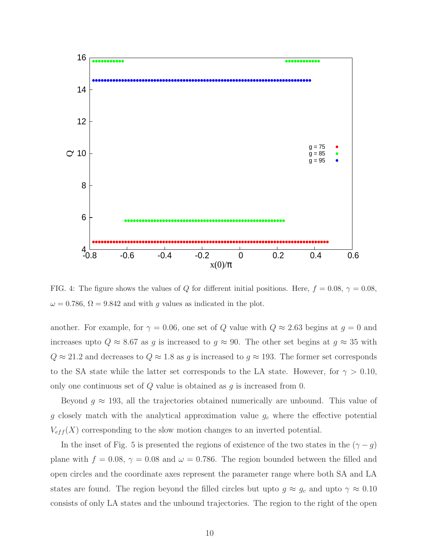

FIG. 4: The figure shows the values of Q for different initial positions. Here,  $f = 0.08$ ,  $\gamma = 0.08$ ,  $\omega = 0.786$ ,  $\Omega = 9.842$  and with g values as indicated in the plot.

another. For example, for  $\gamma = 0.06$ , one set of Q value with  $Q \approx 2.63$  begins at  $g = 0$  and increases upto  $Q \approx 8.67$  as g is increased to  $g \approx 90$ . The other set begins at  $g \approx 35$  with  $Q \approx 21.2$  and decreases to  $Q \approx 1.8$  as g is increased to  $g \approx 193$ . The former set corresponds to the SA state while the latter set corresponds to the LA state. However, for  $\gamma > 0.10$ , only one continuous set of  $Q$  value is obtained as  $q$  is increased from 0.

Beyond  $g \approx 193$ , all the trajectories obtained numerically are unbound. This value of g closely match with the analytical approximation value  $g_c$  where the effective potential  $V_{eff}(X)$  corresponding to the slow motion changes to an inverted potential.

In the inset of Fig. 5 is presented the regions of existence of the two states in the  $(γ - g)$ plane with  $f = 0.08$ ,  $\gamma = 0.08$  and  $\omega = 0.786$ . The region bounded between the filled and open circles and the coordinate axes represent the parameter range where both SA and LA states are found. The region beyond the filled circles but upto  $g \approx g_c$  and upto  $\gamma \approx 0.10$ consists of only LA states and the unbound trajectories. The region to the right of the open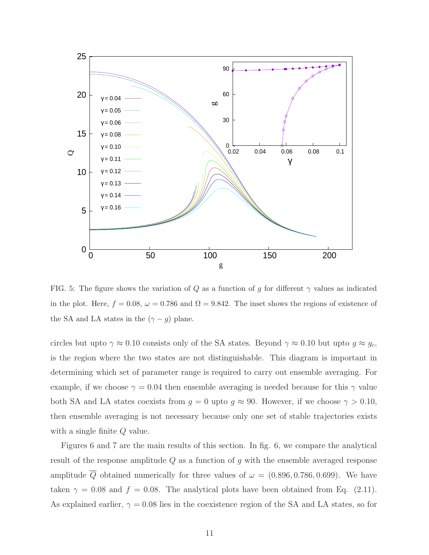

FIG. 5: The figure shows the variation of Q as a function of g for different  $\gamma$  values as indicated in the plot. Here,  $f = 0.08$ ,  $\omega = 0.786$  and  $\Omega = 9.842$ . The inset shows the regions of existence of the SA and LA states in the  $(\gamma - g)$  plane.

circles but upto  $\gamma \approx 0.10$  consists only of the SA states. Beyond  $\gamma \approx 0.10$  but upto  $g \approx g_c$ , is the region where the two states are not distinguishable. This diagram is important in determining which set of parameter range is required to carry out ensemble averaging. For example, if we choose  $\gamma = 0.04$  then ensemble averaging is needed because for this  $\gamma$  value both SA and LA states coexists from  $g = 0$  upto  $g \approx 90$ . However, if we choose  $\gamma > 0.10$ , then ensemble averaging is not necessary because only one set of stable trajectories exists with a single finite Q value.

Figures 6 and 7 are the main results of this section. In fig. 6, we compare the analytical result of the response amplitude  $Q$  as a function of g with the ensemble averaged response amplitude  $\overline{Q}$  obtained numerically for three values of  $\omega = (0.896, 0.786, 0.699)$ . We have taken  $\gamma = 0.08$  and  $f = 0.08$ . The analytical plots have been obtained from Eq. (2.11). As explained earlier,  $\gamma = 0.08$  lies in the coexistence region of the SA and LA states, so for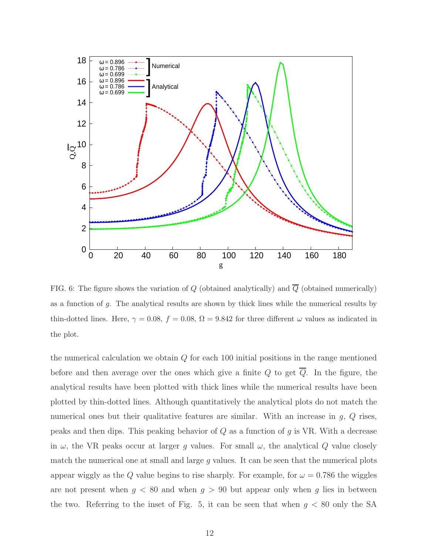

FIG. 6: The figure shows the variation of  $Q$  (obtained analytically) and  $\overline{Q}$  (obtained numerically) as a function of g. The analytical results are shown by thick lines while the numerical results by thin-dotted lines. Here,  $\gamma = 0.08$ ,  $f = 0.08$ ,  $\Omega = 9.842$  for three different  $\omega$  values as indicated in the plot.

the numerical calculation we obtain  $Q$  for each 100 initial positions in the range mentioned before and then average over the ones which give a finite  $Q$  to get  $\overline{Q}$ . In the figure, the analytical results have been plotted with thick lines while the numerical results have been plotted by thin-dotted lines. Although quantitatively the analytical plots do not match the numerical ones but their qualitative features are similar. With an increase in  $g, Q$  rises, peaks and then dips. This peaking behavior of  $Q$  as a function of  $g$  is VR. With a decrease in  $\omega$ , the VR peaks occur at larger g values. For small  $\omega$ , the analytical Q value closely match the numerical one at small and large  $g$  values. It can be seen that the numerical plots appear wiggly as the Q value begins to rise sharply. For example, for  $\omega = 0.786$  the wiggles are not present when  $g \leq 80$  and when  $g > 90$  but appear only when g lies in between the two. Referring to the inset of Fig. 5, it can be seen that when  $g < 80$  only the SA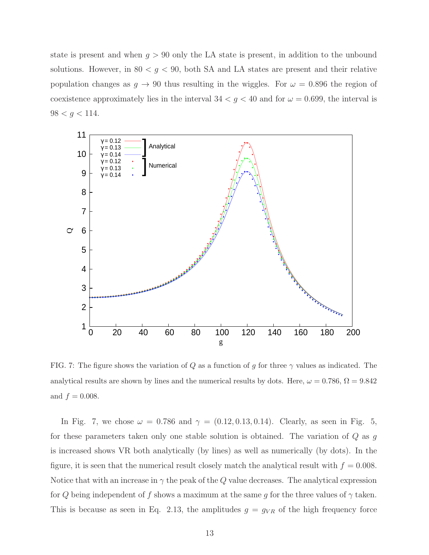state is present and when  $g > 90$  only the LA state is present, in addition to the unbound solutions. However, in  $80 < g < 90$ , both SA and LA states are present and their relative population changes as  $g \to 90$  thus resulting in the wiggles. For  $\omega = 0.896$  the region of coexistence approximately lies in the interval  $34 < g < 40$  and for  $\omega = 0.699$ , the interval is  $98 < g < 114$ .



FIG. 7: The figure shows the variation of Q as a function of g for three  $\gamma$  values as indicated. The analytical results are shown by lines and the numerical results by dots. Here,  $\omega = 0.786$ ,  $\Omega = 9.842$ and  $f = 0.008$ .

In Fig. 7, we chose  $\omega = 0.786$  and  $\gamma = (0.12, 0.13, 0.14)$ . Clearly, as seen in Fig. 5, for these parameters taken only one stable solution is obtained. The variation of  $Q$  as  $g$ is increased shows VR both analytically (by lines) as well as numerically (by dots). In the figure, it is seen that the numerical result closely match the analytical result with  $f = 0.008$ . Notice that with an increase in  $\gamma$  the peak of the Q value decreases. The analytical expression for Q being independent of f shows a maximum at the same g for the three values of  $\gamma$  taken. This is because as seen in Eq. 2.13, the amplitudes  $g = g_{VR}$  of the high frequency force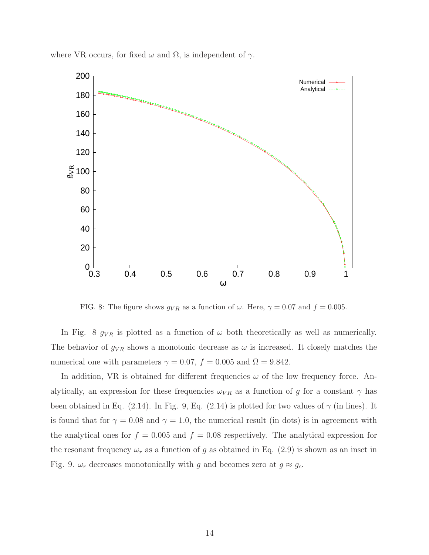

where VR occurs, for fixed  $\omega$  and  $\Omega$ , is independent of  $\gamma$ .

FIG. 8: The figure shows  $g_{VR}$  as a function of  $\omega$ . Here,  $\gamma = 0.07$  and  $f = 0.005$ .

In Fig. 8  $g_{VR}$  is plotted as a function of  $\omega$  both theoretically as well as numerically. The behavior of  $g_{VR}$  shows a monotonic decrease as  $\omega$  is increased. It closely matches the numerical one with parameters  $\gamma = 0.07$ ,  $f = 0.005$  and  $\Omega = 9.842$ .

In addition, VR is obtained for different frequencies  $\omega$  of the low frequency force. Analytically, an expression for these frequencies  $\omega_{VR}$  as a function of g for a constant  $\gamma$  has been obtained in Eq. (2.14). In Fig. 9, Eq. (2.14) is plotted for two values of  $\gamma$  (in lines). It is found that for  $\gamma = 0.08$  and  $\gamma = 1.0$ , the numerical result (in dots) is in agreement with the analytical ones for  $f = 0.005$  and  $f = 0.08$  respectively. The analytical expression for the resonant frequency  $\omega_r$  as a function of g as obtained in Eq. (2.9) is shown as an inset in Fig. 9.  $\omega_r$  decreases monotonically with g and becomes zero at  $g \approx g_c$ .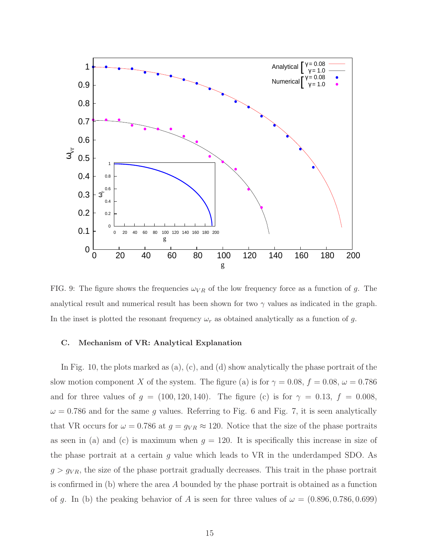

FIG. 9: The figure shows the frequencies  $\omega_{VR}$  of the low frequency force as a function of g. The analytical result and numerical result has been shown for two  $\gamma$  values as indicated in the graph. In the inset is plotted the resonant frequency  $\omega_r$  as obtained analytically as a function of g.

## C. Mechanism of VR: Analytical Explanation

In Fig. 10, the plots marked as  $(a)$ ,  $(c)$ , and  $(d)$  show analytically the phase portrait of the slow motion component X of the system. The figure (a) is for  $\gamma = 0.08$ ,  $f = 0.08$ ,  $\omega = 0.786$ and for three values of  $g = (100, 120, 140)$ . The figure (c) is for  $\gamma = 0.13$ ,  $f = 0.008$ ,  $\omega = 0.786$  and for the same g values. Referring to Fig. 6 and Fig. 7, it is seen analytically that VR occurs for  $\omega = 0.786$  at  $g = g_{VR} \approx 120$ . Notice that the size of the phase portraits as seen in (a) and (c) is maximum when  $g = 120$ . It is specifically this increase in size of the phase portrait at a certain  $g$  value which leads to VR in the underdamped SDO. As  $g > g_{VR}$ , the size of the phase portrait gradually decreases. This trait in the phase portrait is confirmed in (b) where the area A bounded by the phase portrait is obtained as a function of g. In (b) the peaking behavior of A is seen for three values of  $\omega = (0.896, 0.786, 0.699)$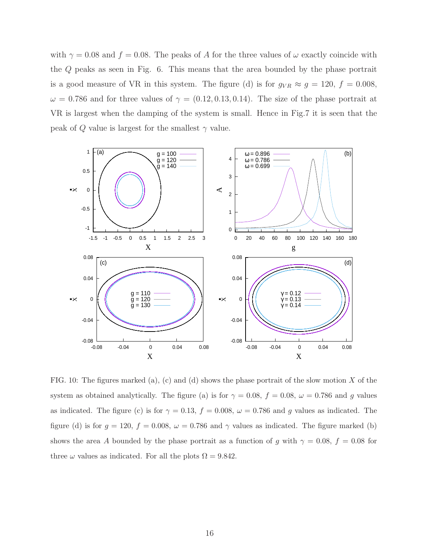with  $\gamma = 0.08$  and  $f = 0.08$ . The peaks of A for the three values of  $\omega$  exactly coincide with the Q peaks as seen in Fig. 6. This means that the area bounded by the phase portrait is a good measure of VR in this system. The figure (d) is for  $g_{VR} \approx g = 120$ ,  $f = 0.008$ ,  $\omega = 0.786$  and for three values of  $\gamma = (0.12, 0.13, 0.14)$ . The size of the phase portrait at VR is largest when the damping of the system is small. Hence in Fig.7 it is seen that the peak of Q value is largest for the smallest  $\gamma$  value.



FIG. 10: The figures marked (a), (c) and (d) shows the phase portrait of the slow motion X of the system as obtained analytically. The figure (a) is for  $\gamma = 0.08$ ,  $f = 0.08$ ,  $\omega = 0.786$  and g values as indicated. The figure (c) is for  $\gamma = 0.13$ ,  $f = 0.008$ ,  $\omega = 0.786$  and g values as indicated. The figure (d) is for  $g = 120$ ,  $f = 0.008$ ,  $\omega = 0.786$  and  $\gamma$  values as indicated. The figure marked (b) shows the area A bounded by the phase portrait as a function of g with  $\gamma = 0.08$ ,  $f = 0.08$  for three  $\omega$  values as indicated. For all the plots  $\Omega = 9.842$ .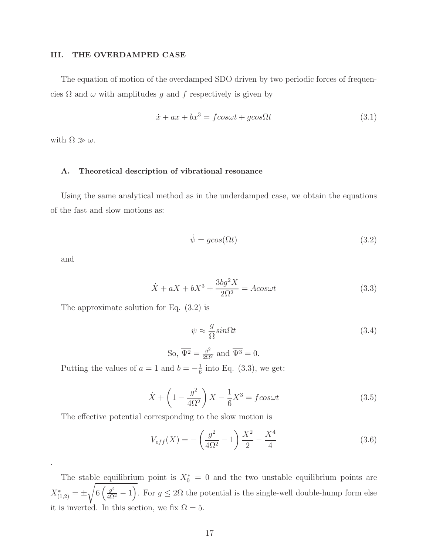### III. THE OVERDAMPED CASE

The equation of motion of the overdamped SDO driven by two periodic forces of frequencies  $\Omega$  and  $\omega$  with amplitudes g and f respectively is given by

$$
\dot{x} + ax + bx^3 = f \cos\omega t + g \cos\Omega t \tag{3.1}
$$

with  $\Omega \gg \omega$ .

#### A. Theoretical description of vibrational resonance

Using the same analytical method as in the underdamped case, we obtain the equations of the fast and slow motions as:

$$
\dot{\psi} = g\cos(\Omega t) \tag{3.2}
$$

and

.

$$
\dot{X} + aX + bX^3 + \frac{3bg^2X}{2\Omega^2} = A\cos\omega t
$$
\n(3.3)

The approximate solution for Eq. (3.2) is

$$
\psi \approx \frac{g}{\Omega} sin \Omega t
$$
\n
$$
\text{So, } \overline{\Psi^2} = \frac{g^2}{2\Omega^2} \text{ and } \overline{\Psi^3} = 0.
$$
\n
$$
(3.4)
$$

Putting the values of  $a = 1$  and  $b = -\frac{1}{6}$  $\frac{1}{6}$  into Eq. (3.3), we get:

$$
\dot{X} + \left(1 - \frac{g^2}{4\Omega^2}\right)X - \frac{1}{6}X^3 = f\cos\omega t\tag{3.5}
$$

The effective potential corresponding to the slow motion is

$$
V_{eff}(X) = -\left(\frac{g^2}{4\Omega^2} - 1\right)\frac{X^2}{2} - \frac{X^4}{4}
$$
\n(3.6)

The stable equilibrium point is  $X_0^* = 0$  and the two unstable equilibrium points are  $X^*_{(1,2)} = \pm$ <sup>1</sup>  $6\left(\frac{g^2}{4\Omega^2}-1\right)$ . For  $g\leq 2\Omega$  the potential is the single-well double-hump form else it is inverted. In this section, we fix  $\Omega = 5$ .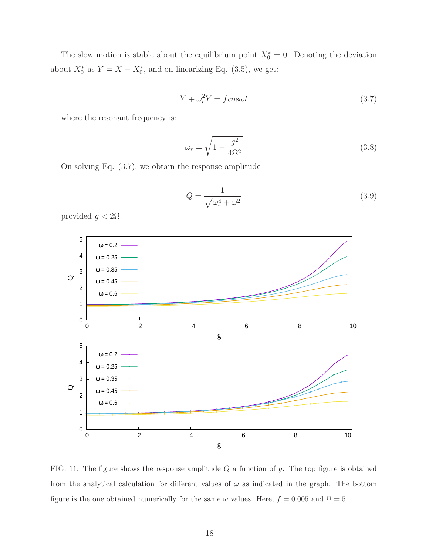The slow motion is stable about the equilibrium point  $X_0^* = 0$ . Denoting the deviation about  $X_0^*$  as  $Y = X - X_0^*$ , and on linearizing Eq. (3.5), we get:

$$
\dot{Y} + \omega_r^2 Y = f \cos \omega t \tag{3.7}
$$

where the resonant frequency is:

$$
\omega_r = \sqrt{1 - \frac{g^2}{4\Omega^2}}\tag{3.8}
$$

On solving Eq. (3.7), we obtain the response amplitude

$$
Q = \frac{1}{\sqrt{\omega_r^4 + \omega^2}}\tag{3.9}
$$

provided  $g < 2Ω$ .



FIG. 11: The figure shows the response amplitude  $Q$  a function of  $g$ . The top figure is obtained from the analytical calculation for different values of  $\omega$  as indicated in the graph. The bottom figure is the one obtained numerically for the same  $\omega$  values. Here,  $f = 0.005$  and  $\Omega = 5$ .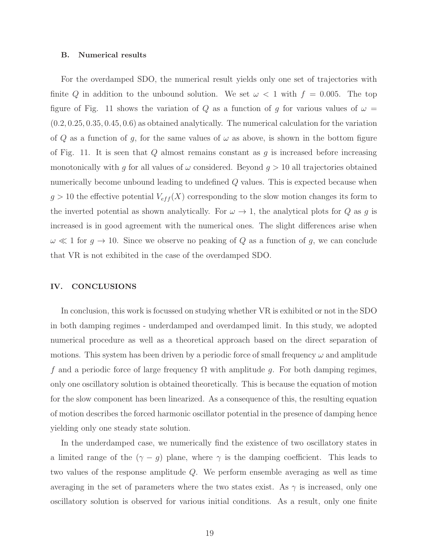#### B. Numerical results

For the overdamped SDO, the numerical result yields only one set of trajectories with finite Q in addition to the unbound solution. We set  $\omega < 1$  with  $f = 0.005$ . The top figure of Fig. 11 shows the variation of Q as a function of g for various values of  $\omega =$  $(0.2, 0.25, 0.35, 0.45, 0.6)$  as obtained analytically. The numerical calculation for the variation of Q as a function of g, for the same values of  $\omega$  as above, is shown in the bottom figure of Fig. 11. It is seen that  $Q$  almost remains constant as  $q$  is increased before increasing monotonically with g for all values of  $\omega$  considered. Beyond  $g > 10$  all trajectories obtained numerically become unbound leading to undefined Q values. This is expected because when  $g > 10$  the effective potential  $V_{eff}(X)$  corresponding to the slow motion changes its form to the inverted potential as shown analytically. For  $\omega \to 1$ , the analytical plots for Q as g is increased is in good agreement with the numerical ones. The slight differences arise when  $\omega \ll 1$  for  $g \to 10$ . Since we observe no peaking of Q as a function of g, we can conclude that VR is not exhibited in the case of the overdamped SDO.

#### IV. CONCLUSIONS

In conclusion, this work is focussed on studying whether VR is exhibited or not in the SDO in both damping regimes - underdamped and overdamped limit. In this study, we adopted numerical procedure as well as a theoretical approach based on the direct separation of motions. This system has been driven by a periodic force of small frequency  $\omega$  and amplitude f and a periodic force of large frequency  $\Omega$  with amplitude g. For both damping regimes, only one oscillatory solution is obtained theoretically. This is because the equation of motion for the slow component has been linearized. As a consequence of this, the resulting equation of motion describes the forced harmonic oscillator potential in the presence of damping hence yielding only one steady state solution.

In the underdamped case, we numerically find the existence of two oscillatory states in a limited range of the  $(\gamma - g)$  plane, where  $\gamma$  is the damping coefficient. This leads to two values of the response amplitude Q. We perform ensemble averaging as well as time averaging in the set of parameters where the two states exist. As  $\gamma$  is increased, only one oscillatory solution is observed for various initial conditions. As a result, only one finite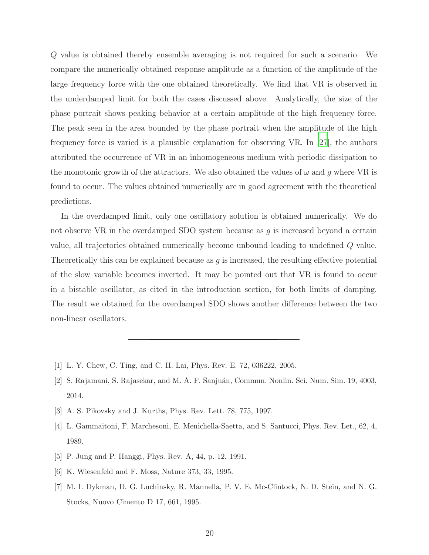Q value is obtained thereby ensemble averaging is not required for such a scenario. We compare the numerically obtained response amplitude as a function of the amplitude of the large frequency force with the one obtained theoretically. We find that VR is observed in the underdamped limit for both the cases discussed above. Analytically, the size of the phase portrait shows peaking behavior at a certain amplitude of the high frequency force. The peak seen in the area bounded by the phase portrait when the amplitude of the high frequency force is varied is a plausible explanation for observing VR. In [\[27\]](#page-20-16), the authors attributed the occurrence of VR in an inhomogeneous medium with periodic dissipation to the monotonic growth of the attractors. We also obtained the values of  $\omega$  and g where VR is found to occur. The values obtained numerically are in good agreement with the theoretical predictions.

In the overdamped limit, only one oscillatory solution is obtained numerically. We do not observe VR in the overdamped SDO system because as  $g$  is increased beyond a certain value, all trajectories obtained numerically become unbound leading to undefined Q value. Theoretically this can be explained because as  $g$  is increased, the resulting effective potential of the slow variable becomes inverted. It may be pointed out that VR is found to occur in a bistable oscillator, as cited in the introduction section, for both limits of damping. The result we obtained for the overdamped SDO shows another difference between the two non-linear oscillators.

- <span id="page-19-0"></span>[1] L. Y. Chew, C. Ting, and C. H. Lai, Phys. Rev. E. 72, 036222, 2005.
- <span id="page-19-1"></span>[2] S. Rajamani, S. Rajasekar, and M. A. F. Sanjuán, Commun. Nonlin. Sci. Num. Sim. 19, 4003, 2014.
- <span id="page-19-2"></span>[3] A. S. Pikovsky and J. Kurths, Phys. Rev. Lett. 78, 775, 1997.
- <span id="page-19-3"></span>[4] L. Gammaitoni, F. Marchesoni, E. Menichella-Saetta, and S. Santucci, Phys. Rev. Let., 62, 4, 1989.
- [5] P. Jung and P. Hanggi, Phys. Rev. A, 44, p. 12, 1991.
- [6] K. Wiesenfeld and F. Moss, Nature 373, 33, 1995.
- [7] M. I. Dykman, D. G. Luchinsky, R. Mannella, P. V. E. Mc-Clintock, N. D. Stein, and N. G. Stocks, Nuovo Cimento D 17, 661, 1995.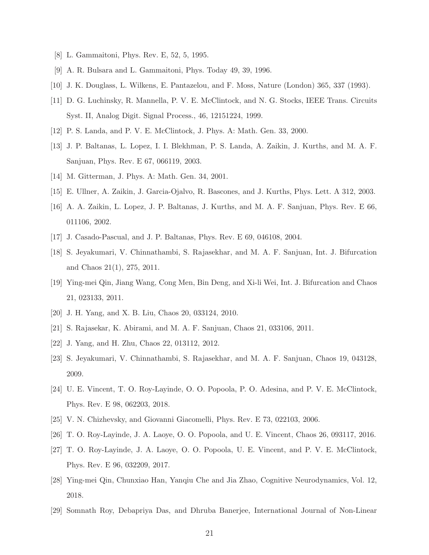- [8] L. Gammaitoni, Phys. Rev. E, 52, 5, 1995.
- [9] A. R. Bulsara and L. Gammaitoni, Phys. Today 49, 39, 1996.
- <span id="page-20-0"></span>[10] J. K. Douglass, L. Wilkens, E. Pantazelou, and F. Moss, Nature (London) 365, 337 (1993).
- [11] D. G. Luchinsky, R. Mannella, P. V. E. McClintock, and N. G. Stocks, IEEE Trans. Circuits Syst. II, Analog Digit. Signal Process., 46, 12151224, 1999.
- <span id="page-20-2"></span><span id="page-20-1"></span>[12] P. S. Landa, and P. V. E. McClintock, J. Phys. A: Math. Gen. 33, 2000.
- [13] J. P. Baltanas, L. Lopez, I. I. Blekhman, P. S. Landa, A. Zaikin, J. Kurths, and M. A. F. Sanjuan, Phys. Rev. E 67, 066119, 2003.
- <span id="page-20-4"></span><span id="page-20-3"></span>[14] M. Gitterman, J. Phys. A: Math. Gen. 34, 2001.
- <span id="page-20-5"></span>[15] E. Ullner, A. Zaikin, J. Garcia-Ojalvo, R. Bascones, and J. Kurths, Phys. Lett. A 312, 2003.
- [16] A. A. Zaikin, L. Lopez, J. P. Baltanas, J. Kurths, and M. A. F. Sanjuan, Phys. Rev. E 66, 011106, 2002.
- <span id="page-20-7"></span><span id="page-20-6"></span>[17] J. Casado-Pascual, and J. P. Baltanas, Phys. Rev. E 69, 046108, 2004.
- [18] S. Jeyakumari, V. Chinnathambi, S. Rajasekhar, and M. A. F. Sanjuan, Int. J. Bifurcation and Chaos 21(1), 275, 2011.
- <span id="page-20-8"></span>[19] Ying-mei Qin, Jiang Wang, Cong Men, Bin Deng, and Xi-li Wei, Int. J. Bifurcation and Chaos 21, 023133, 2011.
- <span id="page-20-9"></span>[20] J. H. Yang, and X. B. Liu, Chaos 20, 033124, 2010.
- <span id="page-20-10"></span>[21] S. Rajasekar, K. Abirami, and M. A. F. Sanjuan, Chaos 21, 033106, 2011.
- <span id="page-20-12"></span><span id="page-20-11"></span>[22] J. Yang, and H. Zhu, Chaos 22, 013112, 2012.
- [23] S. Jeyakumari, V. Chinnathambi, S. Rajasekhar, and M. A. F. Sanjuan, Chaos 19, 043128, 2009.
- <span id="page-20-13"></span>[24] U. E. Vincent, T. O. Roy-Layinde, O. O. Popoola, P. O. Adesina, and P. V. E. McClintock, Phys. Rev. E 98, 062203, 2018.
- <span id="page-20-14"></span>[25] V. N. Chizhevsky, and Giovanni Giacomelli, Phys. Rev. E 73, 022103, 2006.
- <span id="page-20-15"></span>[26] T. O. Roy-Layinde, J. A. Laoye, O. O. Popoola, and U. E. Vincent, Chaos 26, 093117, 2016.
- <span id="page-20-16"></span>[27] T. O. Roy-Layinde, J. A. Laoye, O. O. Popoola, U. E. Vincent, and P. V. E. McClintock, Phys. Rev. E 96, 032209, 2017.
- <span id="page-20-17"></span>[28] Ying-mei Qin, Chunxiao Han, Yanqiu Che and Jia Zhao, Cognitive Neurodynamics, Vol. 12, 2018.
- <span id="page-20-18"></span>[29] Somnath Roy, Debapriya Das, and Dhruba Banerjee, International Journal of Non-Linear